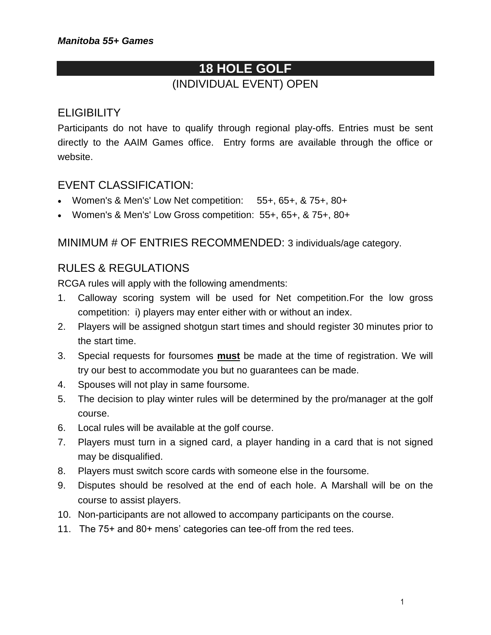# **18 HOLE GOLF** (INDIVIDUAL EVENT) OPEN

### **ELIGIBILITY**

Participants do not have to qualify through regional play-offs. Entries must be sent directly to the AAIM Games office. Entry forms are available through the office or website.

#### EVENT CLASSIFICATION:

- Women's & Men's' Low Net competition: 55+, 65+, & 75+, 80+
- Women's & Men's' Low Gross competition: 55+, 65+, & 75+, 80+

MINIMUM # OF ENTRIES RECOMMENDED: 3 individuals/age category.

### RULES & REGULATIONS

RCGA rules will apply with the following amendments:

- 1. Calloway scoring system will be used for Net competition.For the low gross competition: i) players may enter either with or without an index.
- 2. Players will be assigned shotgun start times and should register 30 minutes prior to the start time.
- 3. Special requests for foursomes **must** be made at the time of registration. We will try our best to accommodate you but no guarantees can be made.
- 4. Spouses will not play in same foursome.
- 5. The decision to play winter rules will be determined by the pro/manager at the golf course.
- 6. Local rules will be available at the golf course.
- 7. Players must turn in a signed card, a player handing in a card that is not signed may be disqualified.
- 8. Players must switch score cards with someone else in the foursome.
- 9. Disputes should be resolved at the end of each hole. A Marshall will be on the course to assist players.
- 10. Non-participants are not allowed to accompany participants on the course.
- 11. The 75+ and 80+ mens' categories can tee-off from the red tees.